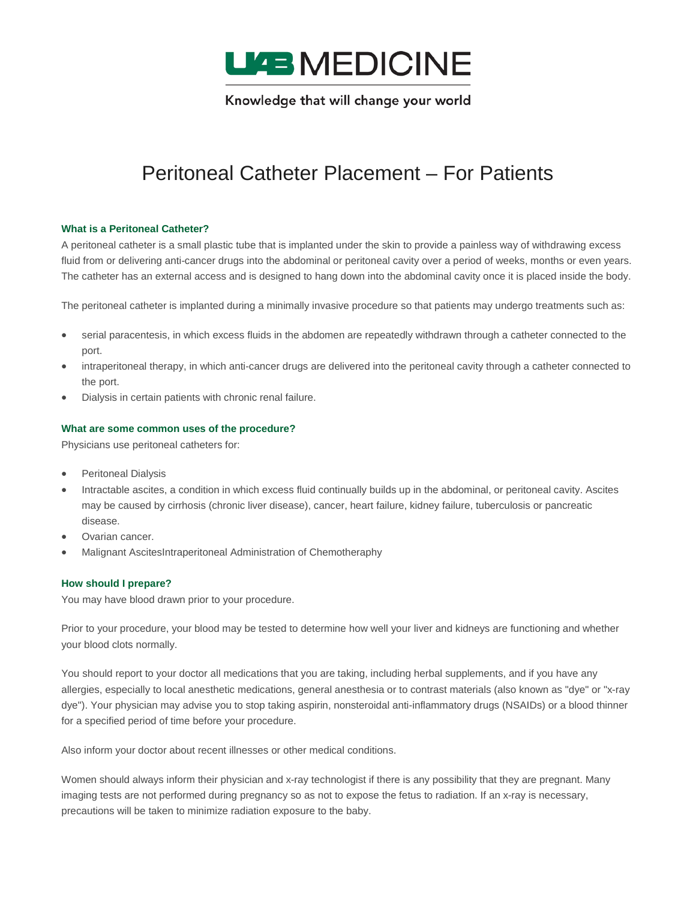

# Peritoneal Catheter Placement – For Patients

#### **What is a Peritoneal Catheter?**

A peritoneal catheter is a small plastic tube that is implanted under the skin to provide a painless way of withdrawing excess fluid from or delivering anti-cancer drugs into the abdominal or peritoneal cavity over a period of weeks, months or even years. The catheter has an external access and is designed to hang down into the abdominal cavity once it is placed inside the body.

The peritoneal catheter is implanted during a minimally invasive procedure so that patients may undergo treatments such as:

- serial paracentesis, in which excess fluids in the abdomen are repeatedly withdrawn through a catheter connected to the port.
- intraperitoneal therapy, in which anti-cancer drugs are delivered into the peritoneal cavity through a catheter connected to the port.
- Dialysis in certain patients with chronic renal failure.

#### **What are some common uses of the procedure?**

Physicians use peritoneal catheters for:

- Peritoneal Dialysis
- Intractable ascites, a condition in which excess fluid continually builds up in the abdominal, or peritoneal cavity. Ascites may be caused by cirrhosis (chronic liver disease), cancer, heart failure, kidney failure, tuberculosis or pancreatic disease.
- Ovarian cancer.
- Malignant AscitesIntraperitoneal Administration of Chemotheraphy

#### **How should I prepare?**

You may have blood drawn prior to your procedure.

Prior to your procedure, your blood may be tested to determine how well your liver and kidneys are functioning and whether your blood clots normally.

You should report to your doctor all medications that you are taking, including herbal supplements, and if you have any allergies, especially to local anesthetic medications, general anesthesia or to contrast materials (also known as "dye" or "x-ray dye"). Your physician may advise you to stop taking aspirin, nonsteroidal anti-inflammatory drugs (NSAIDs) or a blood thinner for a specified period of time before your procedure.

Also inform your doctor about recent illnesses or other medical conditions.

Women should always inform their physician and x-ray technologist if there is any possibility that they are pregnant. Many imaging tests are not performed during pregnancy so as not to expose the fetus to radiation. If an x-ray is necessary, precautions will be taken to minimize radiation exposure to the baby.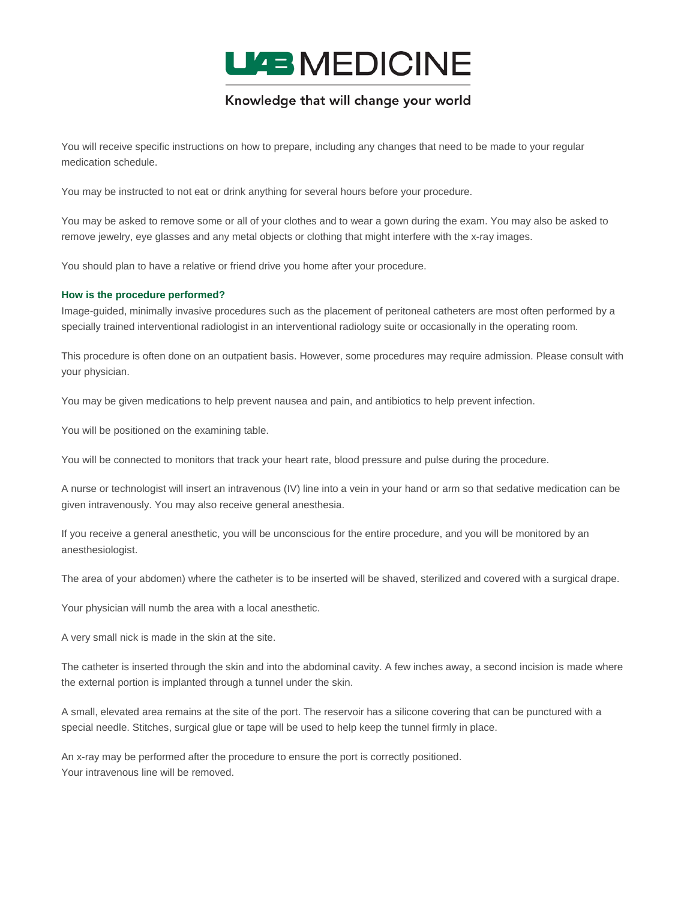

You will receive specific instructions on how to prepare, including any changes that need to be made to your regular medication schedule.

You may be instructed to not eat or drink anything for several hours before your procedure.

You may be asked to remove some or all of your clothes and to wear a gown during the exam. You may also be asked to remove jewelry, eye glasses and any metal objects or clothing that might interfere with the x-ray images.

You should plan to have a relative or friend drive you home after your procedure.

#### **How is the procedure performed?**

Image-guided, minimally invasive procedures such as the placement of peritoneal catheters are most often performed by a specially trained interventional radiologist in an interventional radiology suite or occasionally in the operating room.

This procedure is often done on an outpatient basis. However, some procedures may require admission. Please consult with your physician.

You may be given medications to help prevent nausea and pain, and antibiotics to help prevent infection.

You will be positioned on the examining table.

You will be connected to monitors that track your heart rate, blood pressure and pulse during the procedure.

A nurse or technologist will insert an intravenous (IV) line into a vein in your hand or arm so that sedative medication can be given intravenously. You may also receive general anesthesia.

If you receive a general anesthetic, you will be unconscious for the entire procedure, and you will be monitored by an anesthesiologist.

The area of your abdomen) where the catheter is to be inserted will be shaved, sterilized and covered with a surgical drape.

Your physician will numb the area with a local anesthetic.

A very small nick is made in the skin at the site.

The catheter is inserted through the skin and into the abdominal cavity. A few inches away, a second incision is made where the external portion is implanted through a tunnel under the skin.

A small, elevated area remains at the site of the port. The reservoir has a silicone covering that can be punctured with a special needle. Stitches, surgical glue or tape will be used to help keep the tunnel firmly in place.

An x-ray may be performed after the procedure to ensure the port is correctly positioned. Your intravenous line will be removed.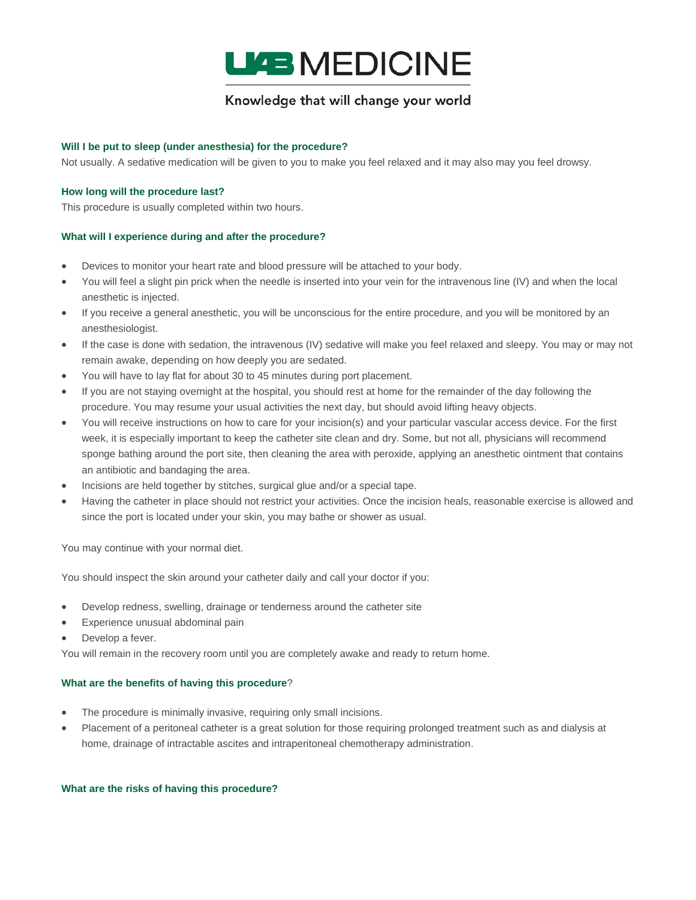

#### **Will I be put to sleep (under anesthesia) for the procedure?**

Not usually. A sedative medication will be given to you to make you feel relaxed and it may also may you feel drowsy.

#### **How long will the procedure last?**

This procedure is usually completed within two hours.

#### **What will I experience during and after the procedure?**

- Devices to monitor your heart rate and blood pressure will be attached to your body.
- You will feel a slight pin prick when the needle is inserted into your vein for the intravenous line (IV) and when the local anesthetic is injected.
- If you receive a general anesthetic, you will be unconscious for the entire procedure, and you will be monitored by an anesthesiologist.
- If the case is done with sedation, the intravenous (IV) sedative will make you feel relaxed and sleepy. You may or may not remain awake, depending on how deeply you are sedated.
- You will have to lay flat for about 30 to 45 minutes during port placement.
- If you are not staying overnight at the hospital, you should rest at home for the remainder of the day following the procedure. You may resume your usual activities the next day, but should avoid lifting heavy objects.
- You will receive instructions on how to care for your incision(s) and your particular vascular access device. For the first week, it is especially important to keep the catheter site clean and dry. Some, but not all, physicians will recommend sponge bathing around the port site, then cleaning the area with peroxide, applying an anesthetic ointment that contains an antibiotic and bandaging the area.
- Incisions are held together by stitches, surgical glue and/or a special tape.
- Having the catheter in place should not restrict your activities. Once the incision heals, reasonable exercise is allowed and since the port is located under your skin, you may bathe or shower as usual.

You may continue with your normal diet.

You should inspect the skin around your catheter daily and call your doctor if you:

- Develop redness, swelling, drainage or tenderness around the catheter site
- Experience unusual abdominal pain
- Develop a fever.

You will remain in the recovery room until you are completely awake and ready to return home.

#### **What are the benefits of having this procedure**?

- The procedure is minimally invasive, requiring only small incisions.
- Placement of a peritoneal catheter is a great solution for those requiring prolonged treatment such as and dialysis at home, drainage of intractable ascites and intraperitoneal chemotherapy administration.

**What are the risks of having this procedure?**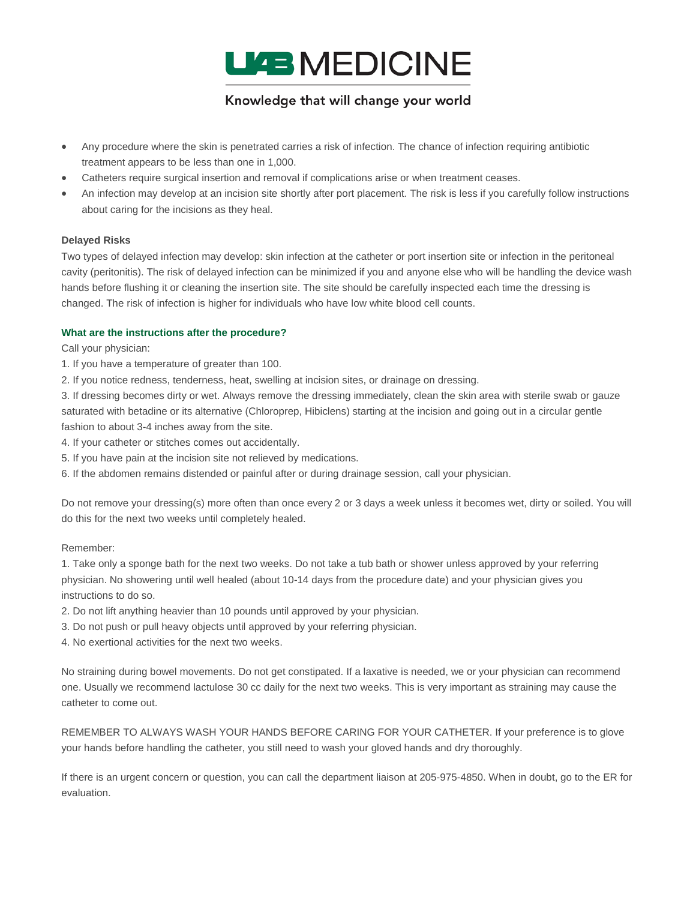

- Any procedure where the skin is penetrated carries a risk of infection. The chance of infection requiring antibiotic treatment appears to be less than one in 1,000.
- Catheters require surgical insertion and removal if complications arise or when treatment ceases.
- An infection may develop at an incision site shortly after port placement. The risk is less if you carefully follow instructions about caring for the incisions as they heal.

#### **Delayed Risks**

Two types of delayed infection may develop: skin infection at the catheter or port insertion site or infection in the peritoneal cavity (peritonitis). The risk of delayed infection can be minimized if you and anyone else who will be handling the device wash hands before flushing it or cleaning the insertion site. The site should be carefully inspected each time the dressing is changed. The risk of infection is higher for individuals who have low white blood cell counts.

#### **What are the instructions after the procedure?**

Call your physician:

- 1. If you have a temperature of greater than 100.
- 2. If you notice redness, tenderness, heat, swelling at incision sites, or drainage on dressing.

3. If dressing becomes dirty or wet. Always remove the dressing immediately, clean the skin area with sterile swab or gauze saturated with betadine or its alternative (Chloroprep, Hibiclens) starting at the incision and going out in a circular gentle fashion to about 3-4 inches away from the site.

- 4. If your catheter or stitches comes out accidentally.
- 5. If you have pain at the incision site not relieved by medications.
- 6. If the abdomen remains distended or painful after or during drainage session, call your physician.

Do not remove your dressing(s) more often than once every 2 or 3 days a week unless it becomes wet, dirty or soiled. You will do this for the next two weeks until completely healed.

#### Remember:

1. Take only a sponge bath for the next two weeks. Do not take a tub bath or shower unless approved by your referring physician. No showering until well healed (about 10-14 days from the procedure date) and your physician gives you instructions to do so.

- 2. Do not lift anything heavier than 10 pounds until approved by your physician.
- 3. Do not push or pull heavy objects until approved by your referring physician.
- 4. No exertional activities for the next two weeks.

No straining during bowel movements. Do not get constipated. If a laxative is needed, we or your physician can recommend one. Usually we recommend lactulose 30 cc daily for the next two weeks. This is very important as straining may cause the catheter to come out.

REMEMBER TO ALWAYS WASH YOUR HANDS BEFORE CARING FOR YOUR CATHETER. If your preference is to glove your hands before handling the catheter, you still need to wash your gloved hands and dry thoroughly.

If there is an urgent concern or question, you can call the department liaison at 205-975-4850. When in doubt, go to the ER for evaluation.